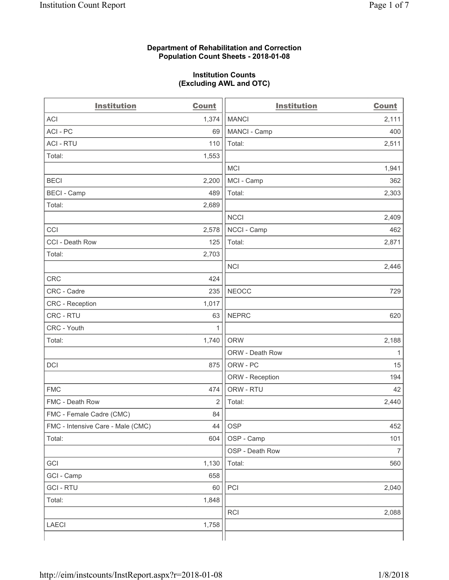#### **Department of Rehabilitation and Correction Population Count Sheets - 2018-01-08**

#### **Institution Counts (Excluding AWL and OTC)**

| <b>Institution</b>                | <b>Count</b>   | <b>Institution</b> | <b>Count</b>   |
|-----------------------------------|----------------|--------------------|----------------|
| <b>ACI</b>                        | 1,374          | <b>MANCI</b>       | 2,111          |
| ACI-PC                            | 69             | MANCI - Camp       | 400            |
| <b>ACI - RTU</b>                  | 110            | Total:             | 2,511          |
| Total:                            | 1,553          |                    |                |
|                                   |                | <b>MCI</b>         | 1,941          |
| <b>BECI</b>                       | 2,200          | MCI - Camp         | 362            |
| <b>BECI - Camp</b>                | 489            | Total:             | 2,303          |
| Total:                            | 2,689          |                    |                |
|                                   |                | <b>NCCI</b>        | 2,409          |
| CCI                               | 2,578          | NCCI - Camp        | 462            |
| CCI - Death Row                   | 125            | Total:             | 2,871          |
| Total:                            | 2,703          |                    |                |
|                                   |                | <b>NCI</b>         | 2,446          |
| <b>CRC</b>                        | 424            |                    |                |
| CRC - Cadre                       | 235            | <b>NEOCC</b>       | 729            |
| CRC - Reception                   | 1,017          |                    |                |
| CRC - RTU                         | 63             | <b>NEPRC</b>       | 620            |
| CRC - Youth                       | 1              |                    |                |
| Total:                            | 1,740          | <b>ORW</b>         | 2,188          |
|                                   |                | ORW - Death Row    | 1              |
| DCI                               | 875            | ORW - PC           | 15             |
|                                   |                | ORW - Reception    | 194            |
| <b>FMC</b>                        | 474            | ORW - RTU          | 42             |
| FMC - Death Row                   | $\overline{2}$ | Total:             | 2,440          |
| FMC - Female Cadre (CMC)          | 84             |                    |                |
| FMC - Intensive Care - Male (CMC) | 44             | OSP                | 452            |
| Total:                            | 604            | OSP - Camp         | 101            |
|                                   |                | OSP - Death Row    | $\overline{7}$ |
| GCI                               | 1,130          | Total:             | 560            |
| GCI - Camp                        | 658            |                    |                |
| <b>GCI-RTU</b>                    | 60             | PCI                | 2,040          |
| Total:                            | 1,848          |                    |                |
|                                   |                | RCI                | 2,088          |
| <b>LAECI</b>                      | 1,758          |                    |                |
|                                   |                |                    |                |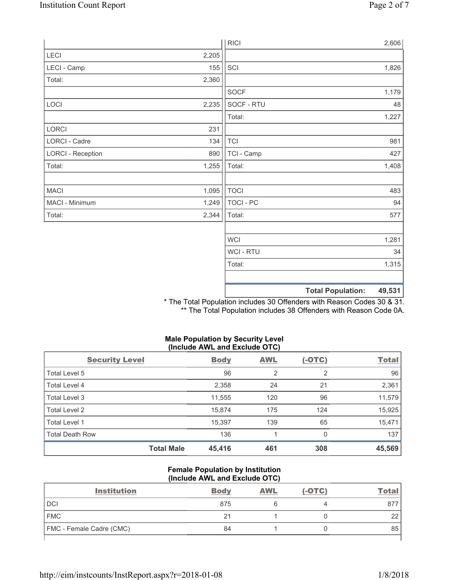|                          |       | <b>RICI</b>    | 2,606                              |
|--------------------------|-------|----------------|------------------------------------|
| LECI                     | 2,205 |                |                                    |
| LECI - Camp              | 155   | SCI            | 1,826                              |
| Total:                   | 2,360 |                |                                    |
|                          |       | <b>SOCF</b>    | 1,179                              |
| LOCI                     | 2,235 | SOCF - RTU     | 48                                 |
|                          |       | Total:         | 1,227                              |
| LORCI                    | 231   |                |                                    |
| LORCI - Cadre            | 134   | <b>TCI</b>     | 981                                |
| <b>LORCI - Reception</b> | 890   | TCI - Camp     | 427                                |
| Total:                   | 1,255 | Total:         | 1,408                              |
|                          |       |                |                                    |
| <b>MACI</b>              | 1,095 | <b>TOCI</b>    | 483                                |
| MACI - Minimum           | 1,249 | TOCI - PC      | 94                                 |
| Total:                   | 2,344 | Total:         | 577                                |
|                          |       |                |                                    |
|                          |       | <b>WCI</b>     | 1,281                              |
|                          |       | <b>WCI-RTU</b> | 34                                 |
|                          |       | Total:         | 1,315                              |
|                          |       |                |                                    |
|                          |       |                | <b>Total Population:</b><br>49,531 |

\* The Total Population includes 30 Offenders with Reason Codes 30 & 31. \*\* The Total Population includes 38 Offenders with Reason Code 0A.

# **Male Population by Security Level (Include AWL and Exclude OTC)**

| <b>Security Level</b>  |                   | <b>Body</b> | <b>AWL</b>     | $(-OTC)$ | <b>Total</b> |
|------------------------|-------------------|-------------|----------------|----------|--------------|
| Total Level 5          |                   | 96          | $\overline{2}$ | 2        | 96           |
| <b>Total Level 4</b>   |                   | 2,358       | 24             | 21       | 2,361        |
| Total Level 3          |                   | 11,555      | 120            | 96       | 11,579       |
| Total Level 2          |                   | 15,874      | 175            | 124      | 15,925       |
| Total Level 1          |                   | 15,397      | 139            | 65       | 15,471       |
| <b>Total Death Row</b> |                   | 136         |                | 0        | 137          |
|                        | <b>Total Male</b> | 45,416      | 461            | 308      | 45,569       |

### **Female Population by Institution (Include AWL and Exclude OTC)**

| <b>Body</b> | <b>AWL</b> | $(-OTC)$ | Tota     |
|-------------|------------|----------|----------|
| 875         |            |          | 877      |
| 21          |            |          | າາ<br>∠∠ |
| 84          |            |          | 85       |
|             |            |          |          |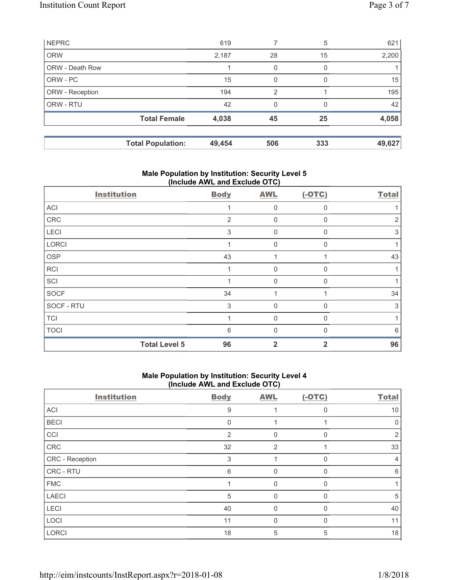| <b>NEPRC</b>           |                          | 619    |                | 5            | 621    |
|------------------------|--------------------------|--------|----------------|--------------|--------|
| <b>ORW</b>             |                          | 2,187  | 28             | 15           | 2,200  |
| <b>ORW - Death Row</b> |                          |        | 0              | 0            |        |
| ORW - PC               |                          | 15     | 0              | <sup>0</sup> | 15     |
| ORW - Reception        |                          | 194    | $\overline{2}$ |              | 195    |
| ORW - RTU              |                          | 42     | 0              | 0            | 42     |
|                        | <b>Total Female</b>      | 4,038  | 45             | 25           | 4,058  |
|                        |                          |        |                |              |        |
|                        | <b>Total Population:</b> | 49,454 | 506            | 333          | 49,627 |

# **Male Population by Institution: Security Level 5 (Include AWL and Exclude OTC)**

| <b>Institution</b>   | <b>Body</b> | <b>AWL</b>  | $(-OTC)$     | <b>Total</b> |
|----------------------|-------------|-------------|--------------|--------------|
| ACI                  |             | $\Omega$    | $\Omega$     |              |
| CRC                  | 2           | 0           | $\Omega$     | 2            |
| LECI                 | 3           | $\Omega$    | $\mathbf{0}$ | 3            |
| LORCI                |             | $\mathbf 0$ | $\mathbf 0$  |              |
| <b>OSP</b>           | 43          |             |              | 43           |
| <b>RCI</b>           |             | O           | n            |              |
| SCI                  |             | $\Omega$    | $\Omega$     |              |
| SOCF                 | 34          |             |              | 34           |
| SOCF - RTU           | 3           | $\Omega$    | $\mathbf{0}$ | 3            |
| <b>TCI</b>           |             | $\Omega$    | $\Omega$     |              |
| <b>TOCI</b>          | 6           | O           | ſ            | 6            |
| <b>Total Level 5</b> | 96          | 2           | 2            | 96           |

# **Male Population by Institution: Security Level 4 (Include AWL and Exclude OTC)**

| <b>Institution</b> | <b>Body</b>    | <b>AWL</b>     | $(-OTC)$     | <b>Total</b> |
|--------------------|----------------|----------------|--------------|--------------|
| ACI                | 9              |                | O            | 10           |
| <b>BECI</b>        | $\Omega$       |                |              | 0            |
| CCI                | $\overline{2}$ | 0              | $\Omega$     | 2            |
| CRC                | 32             | $\overline{2}$ |              | 33           |
| CRC - Reception    | 3              |                |              | 4            |
| CRC - RTU          | 6              | 0              |              | 6            |
| <b>FMC</b>         |                | $\Omega$       |              |              |
| <b>LAECI</b>       | 5              | 0              | 0            | 5            |
| <b>LECI</b>        | 40             | $\mathbf{0}$   | 0            | 40           |
| LOCI               | 11             | $\mathbf{0}$   | <sup>0</sup> | 11           |
| <b>LORCI</b>       | 18             | 5              | 5            | 18           |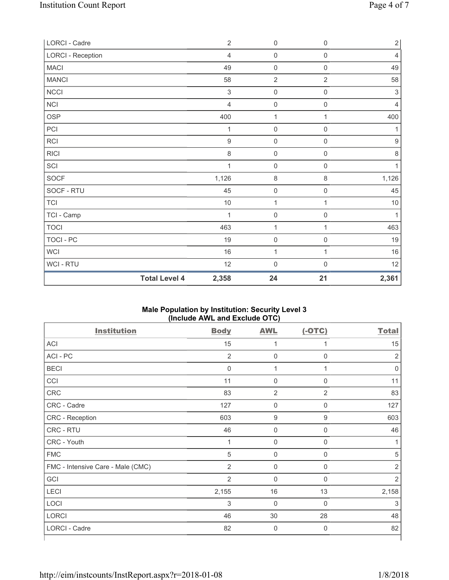|                          | <b>Total Level 4</b><br>2,358 | 24                  | 21                  | 2,361          |
|--------------------------|-------------------------------|---------------------|---------------------|----------------|
| WCI - RTU                | 12                            | $\mathbf 0$         | $\mathsf{O}\xspace$ | 12             |
| <b>WCI</b>               | 16                            | 1                   | 1                   | 16             |
| <b>TOCI - PC</b>         | 19                            | $\mathsf{O}\xspace$ | $\mathsf{O}\xspace$ | 19             |
| <b>TOCI</b>              | 463                           | 1                   | 1                   | 463            |
| TCI - Camp               | 1                             | $\mathsf{O}\xspace$ | $\mathsf{O}\xspace$ | 1              |
| <b>TCI</b>               | $10$                          | 1                   | 1                   | $10$           |
| SOCF - RTU               | 45                            | $\mathsf{O}\xspace$ | $\mathsf{O}\xspace$ | 45             |
| <b>SOCF</b>              | 1,126                         | $\,8\,$             | $\,8\,$             | 1,126          |
| SCI                      | 1                             | $\mathsf{O}\xspace$ | $\mathsf{O}\xspace$ | 1              |
| <b>RICI</b>              | 8                             | $\mathsf{O}\xspace$ | $\mathsf{0}$        | $\,8\,$        |
| <b>RCI</b>               | $\boldsymbol{9}$              | $\mathsf{O}\xspace$ | $\mathsf 0$         | $\hbox{9}$     |
| PCI                      | 1                             | $\mathsf 0$         | $\mathsf{O}\xspace$ | 1              |
| <b>OSP</b>               | 400                           | 1                   | 1                   | 400            |
| NCI                      | 4                             | $\mathsf{O}\xspace$ | $\mathsf{O}\xspace$ | $\overline{4}$ |
| <b>NCCI</b>              | 3                             | $\mathsf{O}\xspace$ | $\mathsf{O}\xspace$ | $\sqrt{3}$     |
| <b>MANCI</b>             | 58                            | $\overline{2}$      | $\overline{2}$      | 58             |
| <b>MACI</b>              | 49                            | $\mathbf 0$         | $\mathsf{O}\xspace$ | 49             |
| <b>LORCI - Reception</b> | $\overline{4}$                | $\mathsf{O}\xspace$ | $\mathsf{O}\xspace$ | 4              |
| LORCI - Cadre            | $\overline{2}$                | $\mathsf{O}\xspace$ | $\mathsf 0$         | $\overline{2}$ |

### **Male Population by Institution: Security Level 3 (Include AWL and Exclude OTC)**

| <b>Institution</b>                | <b>Body</b>    | <b>AWL</b>          | $(-OTC)$    | <b>Total</b>   |
|-----------------------------------|----------------|---------------------|-------------|----------------|
| ACI                               | 15             | 1                   | 1           | 15             |
| ACI - PC                          | $\overline{2}$ | $\pmb{0}$           | $\mathbf 0$ | $\overline{2}$ |
| <b>BECI</b>                       | 0              | 1                   | 1           | 0              |
| CCI                               | 11             | $\mathsf{O}\xspace$ | $\mathbf 0$ | 11             |
| <b>CRC</b>                        | 83             | $\overline{2}$      | 2           | 83             |
| CRC - Cadre                       | 127            | $\mathbf 0$         | $\mathbf 0$ | 127            |
| CRC - Reception                   | 603            | $\boldsymbol{9}$    | 9           | 603            |
| CRC - RTU                         | 46             | $\mathbf 0$         | $\mathbf 0$ | 46             |
| CRC - Youth                       | $\mathbf{1}$   | $\mathbf 0$         | $\mathbf 0$ | 1              |
| <b>FMC</b>                        | 5              | $\mathbf 0$         | 0           | 5              |
| FMC - Intensive Care - Male (CMC) | 2              | $\mathbf 0$         | $\mathbf 0$ | $\overline{2}$ |
| GCI                               | $\overline{2}$ | $\mathbf 0$         | $\mathbf 0$ | $\overline{2}$ |
| LECI                              | 2,155          | 16                  | 13          | 2,158          |
| LOCI                              | 3              | $\mathbf 0$         | $\mathbf 0$ | 3              |
| <b>LORCI</b>                      | 46             | 30                  | 28          | 48             |
| LORCI - Cadre                     | 82             | $\mathbf 0$         | $\mathbf 0$ | 82             |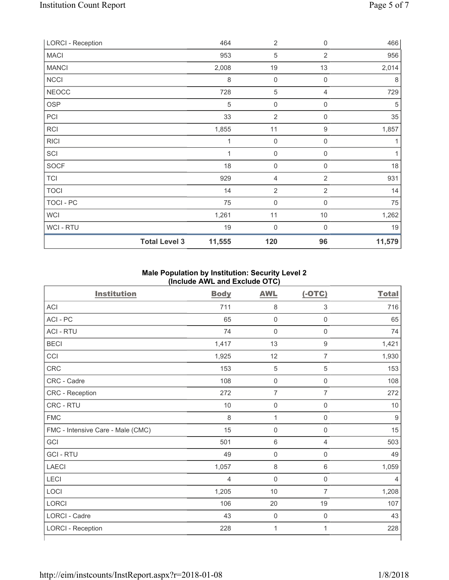| <b>LORCI - Reception</b> |                      | 464     | $\overline{2}$      | 0              | 466    |
|--------------------------|----------------------|---------|---------------------|----------------|--------|
| <b>MACI</b>              |                      | 953     | 5                   | 2              | 956    |
| <b>MANCI</b>             |                      | 2,008   | 19                  | 13             | 2,014  |
| <b>NCCI</b>              |                      | $\,8\,$ | $\mathbf 0$         | $\mathbf 0$    | 8      |
| <b>NEOCC</b>             |                      | 728     | 5                   | 4              | 729    |
| <b>OSP</b>               |                      | 5       | $\mathsf{O}\xspace$ | $\mathbf 0$    | 5      |
| PCI                      |                      | 33      | $\overline{2}$      | 0              | 35     |
| RCI                      |                      | 1,855   | 11                  | 9              | 1,857  |
| <b>RICI</b>              |                      | 1       | $\mathsf 0$         | $\mathbf 0$    | 1      |
| SCI                      |                      | 1       | $\boldsymbol{0}$    | $\mathbf 0$    | 1      |
| <b>SOCF</b>              |                      | 18      | $\boldsymbol{0}$    | $\mathbf 0$    | 18     |
| <b>TCI</b>               |                      | 929     | 4                   | $\overline{2}$ | 931    |
| <b>TOCI</b>              |                      | 14      | $\overline{2}$      | $\overline{2}$ | 14     |
| TOCI - PC                |                      | 75      | $\mathbf 0$         | $\mathbf 0$    | 75     |
| <b>WCI</b>               |                      | 1,261   | 11                  | 10             | 1,262  |
| WCI - RTU                |                      | 19      | 0                   | $\mathbf 0$    | 19     |
|                          | <b>Total Level 3</b> | 11,555  | 120                 | 96             | 11,579 |

## **Male Population by Institution: Security Level 2 (Include AWL and Exclude OTC)**

| <b>Institution</b>                | <b>Body</b>    | <b>AWL</b>          | $(-OTC)$            | <b>Total</b> |
|-----------------------------------|----------------|---------------------|---------------------|--------------|
| <b>ACI</b>                        | 711            | 8                   | 3                   | 716          |
| ACI-PC                            | 65             | $\mathsf{O}\xspace$ | $\mathsf{O}\xspace$ | 65           |
| <b>ACI - RTU</b>                  | 74             | $\mathsf 0$         | $\mathsf{O}\xspace$ | 74           |
| <b>BECI</b>                       | 1,417          | 13                  | $\hbox{9}$          | 1,421        |
| CCI                               | 1,925          | 12                  | $\overline{7}$      | 1,930        |
| <b>CRC</b>                        | 153            | $\sqrt{5}$          | $\sqrt{5}$          | 153          |
| CRC - Cadre                       | 108            | $\mathsf{O}\xspace$ | $\mathsf{O}\xspace$ | 108          |
| CRC - Reception                   | 272            | $\overline{7}$      | $\overline{7}$      | 272          |
| CRC - RTU                         | 10             | 0                   | $\boldsymbol{0}$    | 10           |
| <b>FMC</b>                        | 8              | 1                   | $\mathbf 0$         | 9            |
| FMC - Intensive Care - Male (CMC) | 15             | $\mathsf{O}\xspace$ | $\mathsf 0$         | 15           |
| GCI                               | 501            | 6                   | 4                   | 503          |
| <b>GCI-RTU</b>                    | 49             | $\mathsf{O}\xspace$ | $\boldsymbol{0}$    | 49           |
| <b>LAECI</b>                      | 1,057          | 8                   | 6                   | 1,059        |
| LECI                              | $\overline{4}$ | $\mathsf{O}\xspace$ | $\mathsf{O}\xspace$ | 4            |
| LOCI                              | 1,205          | 10                  | $\overline{7}$      | 1,208        |
| LORCI                             | 106            | 20                  | 19                  | 107          |
| LORCI - Cadre                     | 43             | $\mathsf 0$         | $\mathsf 0$         | 43           |
| <b>LORCI - Reception</b>          | 228            | $\mathbf{1}$        | 1                   | 228          |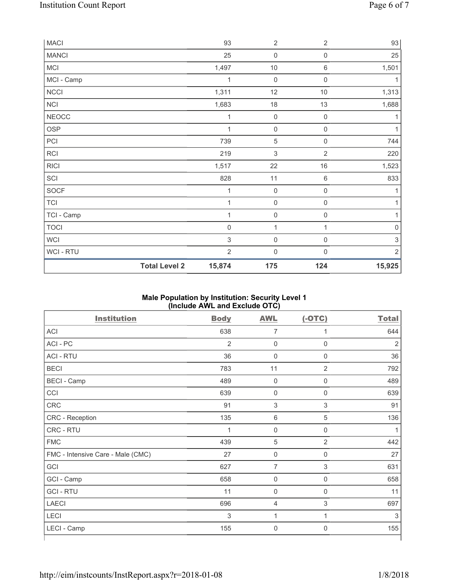| <b>MACI</b>  |                      | 93             | $\sqrt{2}$                | $\sqrt{2}$          | 93                        |
|--------------|----------------------|----------------|---------------------------|---------------------|---------------------------|
| <b>MANCI</b> |                      | 25             | $\mathbf 0$               | $\mathsf{0}$        | 25                        |
| <b>MCI</b>   |                      | 1,497          | $10$                      | $\,6\,$             | 1,501                     |
| MCI - Camp   |                      | 1              | $\mathbf 0$               | $\mathsf{O}\xspace$ | 1                         |
| NCCI         |                      | 1,311          | 12                        | $10$                | 1,313                     |
| NCI          |                      | 1,683          | 18                        | 13                  | 1,688                     |
| <b>NEOCC</b> |                      | 1              | $\mathbf 0$               | $\mathsf{O}\xspace$ | 1                         |
| <b>OSP</b>   |                      | 1              | $\mathbf 0$               | $\mathsf{O}\xspace$ | 1                         |
| PCI          |                      | 739            | $\,$ 5 $\,$               | 0                   | 744                       |
| RCI          |                      | 219            | $\ensuremath{\mathsf{3}}$ | $\overline{2}$      | 220                       |
| <b>RICI</b>  |                      | 1,517          | 22                        | 16                  | 1,523                     |
| SCI          |                      | 828            | 11                        | $\,6\,$             | 833                       |
| SOCF         |                      | 1              | $\mathbf 0$               | 0                   | 1                         |
| <b>TCI</b>   |                      | 1              | $\mathbf 0$               | $\mathsf{O}\xspace$ | 1                         |
| TCI - Camp   |                      | 1              | $\mathsf{O}\xspace$       | $\mathsf{O}\xspace$ | 1                         |
| <b>TOCI</b>  |                      | $\mathsf 0$    | 1                         | 1                   | $\mathsf{O}\xspace$       |
| <b>WCI</b>   |                      | $\sqrt{3}$     | $\mathbf 0$               | $\mathsf{O}\xspace$ | $\ensuremath{\mathsf{3}}$ |
| WCI - RTU    |                      | $\overline{2}$ | $\mathbf 0$               | $\mathsf 0$         | $\overline{2}$            |
|              | <b>Total Level 2</b> | 15,874         | 175                       | 124                 | 15,925                    |

## **Male Population by Institution: Security Level 1 (Include AWL and Exclude OTC)**

| <b>Institution</b>                | <b>Body</b>    | <b>AWL</b>          | $(-OTC)$         | <b>Total</b>   |
|-----------------------------------|----------------|---------------------|------------------|----------------|
| <b>ACI</b>                        | 638            | $\overline{7}$      | 1                | 644            |
| ACI - PC                          | $\overline{2}$ | $\mathbf 0$         | $\mathbf 0$      | $\overline{2}$ |
| <b>ACI - RTU</b>                  | 36             | $\pmb{0}$           | $\boldsymbol{0}$ | 36             |
| <b>BECI</b>                       | 783            | 11                  | $\overline{2}$   | 792            |
| <b>BECI</b> - Camp                | 489            | $\mathbf 0$         | $\mathbf 0$      | 489            |
| CCI                               | 639            | $\mathsf{O}\xspace$ | $\mathbf 0$      | 639            |
| <b>CRC</b>                        | 91             | $\sqrt{3}$          | 3                | 91             |
| CRC - Reception                   | 135            | $\,6\,$             | 5                | 136            |
| CRC - RTU                         | $\mathbf 1$    | $\mathsf{O}\xspace$ | $\boldsymbol{0}$ |                |
| <b>FMC</b>                        | 439            | $\overline{5}$      | $\overline{2}$   | 442            |
| FMC - Intensive Care - Male (CMC) | 27             | $\mathsf{O}\xspace$ | 0                | 27             |
| GCI                               | 627            | $\overline{7}$      | 3                | 631            |
| GCI - Camp                        | 658            | $\mathbf 0$         | 0                | 658            |
| <b>GCI-RTU</b>                    | 11             | $\mathbf 0$         | 0                | 11             |
| <b>LAECI</b>                      | 696            | $\overline{4}$      | 3                | 697            |
| <b>LECI</b>                       | 3              | 1                   | 1                | 3              |
| LECI - Camp                       | 155            | $\Omega$            | 0                | 155            |